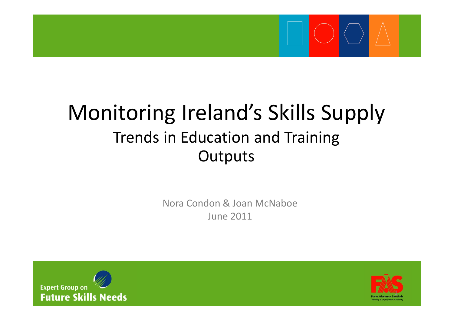

# Monitoring Ireland's Skills Supply Trends in Education and Training **Outputs**

Nora Condon & Joan McNaboe June 2011



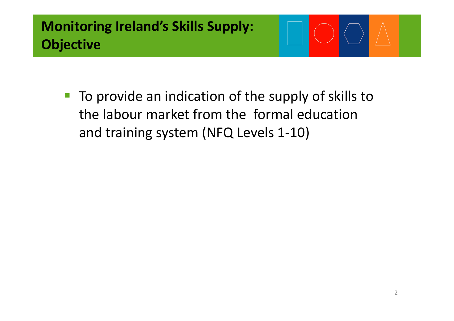■ To provide an indication of the supply of skills to the labour market from the formal education and training system (NFQ Levels 1‐10)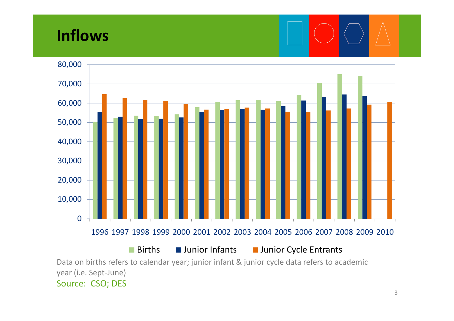# **Inflows**



3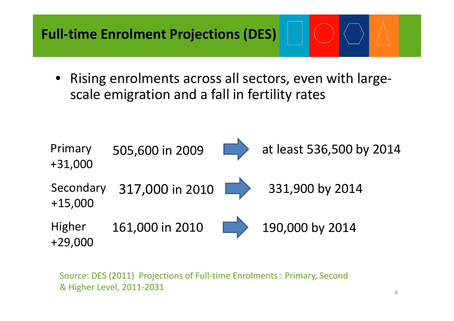• Rising enrolments across all sectors, even with large‐ scale emigration and <sup>a</sup> fall in fertility rates



Source: DES (2011) Projections of Full‐time Enrolments : Primary, Second & Higher Level, 2011‐2031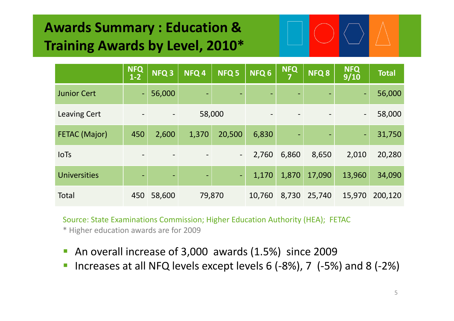# **Awards Summary : Education & Training Awards by Level, 2010\***

|                      | <b>NFQ</b><br>$1 - 2$        | NFQ <sub>3</sub>         | NFQ <sub>4</sub>         | NFQ 5                    | NFQ <sub>6</sub>             | <b>NFQ</b><br>7 | NFQ <sub>8</sub>         | <b>NFQ</b><br>9/10       | <b>Total</b> |
|----------------------|------------------------------|--------------------------|--------------------------|--------------------------|------------------------------|-----------------|--------------------------|--------------------------|--------------|
| <b>Junior Cert</b>   |                              | 56,000                   | $\overline{\phantom{0}}$ |                          | $\qquad \qquad \blacksquare$ | ٠               |                          | $\blacksquare$           | 56,000       |
| <b>Leaving Cert</b>  |                              | $\overline{\phantom{a}}$ | 58,000                   |                          |                              |                 |                          | $\overline{\phantom{a}}$ | 58,000       |
| <b>FETAC (Major)</b> | 450                          | 2,600                    | 1,370                    | 20,500                   | 6,830                        | $\blacksquare$  | $\overline{\phantom{0}}$ | Ξ                        | 31,750       |
| <b>IoTs</b>          |                              | $\overline{\phantom{a}}$ |                          | $\overline{\phantom{0}}$ | 2,760                        | 6,860           | 8,650                    | 2,010                    | 20,280       |
| <b>Universities</b>  | $\qquad \qquad \blacksquare$ | $\overline{\phantom{a}}$ | -                        | I — I                    | 1,170                        | 1,870           | 17,090                   | 13,960                   | 34,090       |
| Total                | 450                          | 58,600                   | 79,870                   |                          | 10,760                       | 8,730           | 25,740                   | 15,970                   | 200,120      |

Source: State Examinations Commission; Higher Education Authority (HEA); FETAC \* Higher education awards are for 2009

- F An overall increase of 3,000 awards (1.5%) since 2009
- p. Increases at all NFQ levels except levels 6 (‐8%), 7 (‐5%) and 8 (‐2%)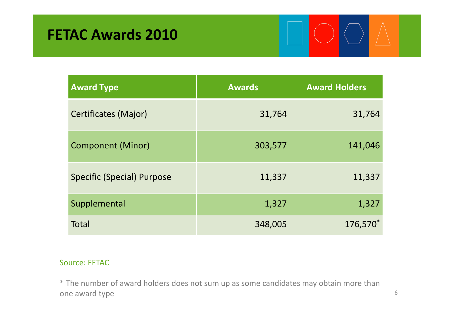| <b>Award Type</b>           | <b>Awards</b> | <b>Award Holders</b> |
|-----------------------------|---------------|----------------------|
| <b>Certificates (Major)</b> | 31,764        | 31,764               |
| <b>Component (Minor)</b>    | 303,577       | 141,046              |
| Specific (Special) Purpose  | 11,337        | 11,337               |
| Supplemental                | 1,327         | 1,327                |
| <b>Total</b>                | 348,005       | 176,570              |

#### Source: FETAC

\* The number of award holders does not sum up as some candidates may obtain more than one award type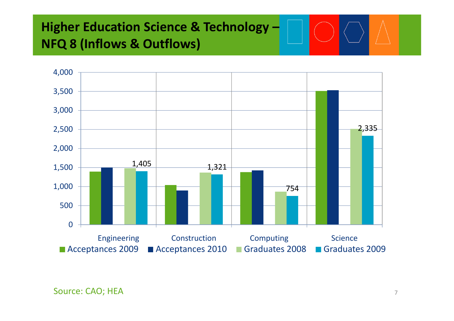## **Higher Education Science & Technology – NFQ 8 (Inflows & Outflows)**



Source: CAO; HEA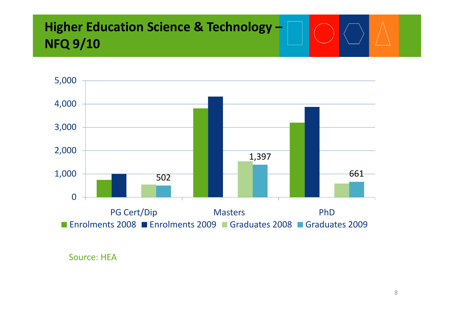## **Higher Education Science & Technology – NFQ 9/10**



Source: HEA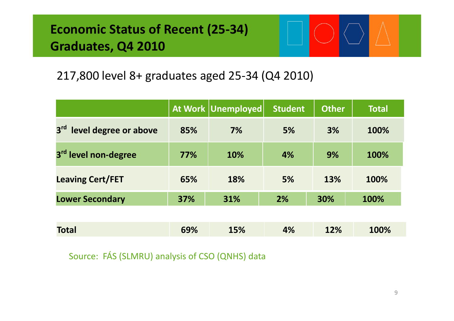## **Economic Status of Recent (25‐34) Graduates, Q4 2010**



#### 217,800 level 8+ graduates aged 25‐34 (Q4 2010)

|                                          |     | At Work Unemployed | <b>Student</b> | <b>Other</b> | <b>Total</b> |
|------------------------------------------|-----|--------------------|----------------|--------------|--------------|
| 3 <sup>rd</sup><br>level degree or above | 85% | 7%                 | 5%             | 3%           | 100%         |
| 3rd level non-degree                     | 77% | 10%                | 4%             | 9%           | 100%         |
| <b>Leaving Cert/FET</b>                  | 65% | 18%                | 5%             | 13%          | 100%         |
| <b>Lower Secondary</b>                   | 37% | 31%                | 2%             | 30%          | 100%         |
|                                          |     |                    |                |              |              |
| <b>Total</b>                             | 69% | 15%                | 4%             | 12%          | 100%         |

Source: FÁS (SLMRU) analysis of CSO (QNHS) data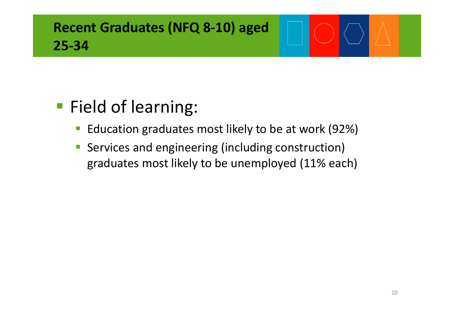# **Recent Graduates (NFQ 8‐10) aged 25‐34**

# **Field of learning:**

- $\mathbb{R}^2$ **Education graduates most likely to be at work (92%)**
- $\mathbb{R}^3$ **Services and engineering (including construction)** graduates most likely to be unemployed (11% each)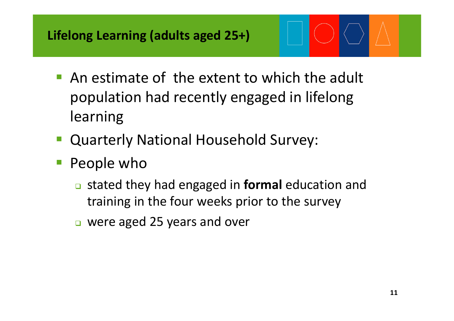- **An estimate of the extent to which the adult** population had recently engaged in lifelong learning
- Quarterly National Household Survey:
- People who
	- stated they had engaged in **formal** education and training in the four weeks prior to the survey
	- were aged 25 years and over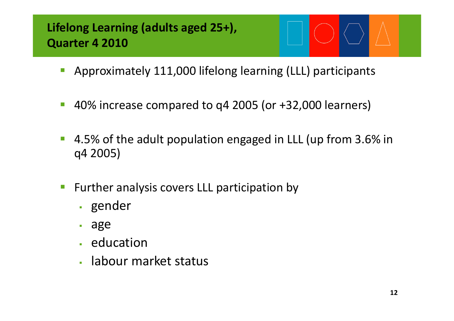## **Lifelong Learning (adults aged 25+), Quarter 4 2010**

- Approximately 111,000 lifelong learning (LLL) participants
- $\mathcal{O}^{\mathcal{A}}$ 40% increase compared to q4 2005 (or +32,000 learners)
- $\mathcal{L}_{\mathcal{A}}$ ■ 4.5% of the adult population engaged in LLL (up from 3.6% in q4 2005)
- Further analysis covers LLL participation by
	- gender
	- age
	- **Education**
	- labour market status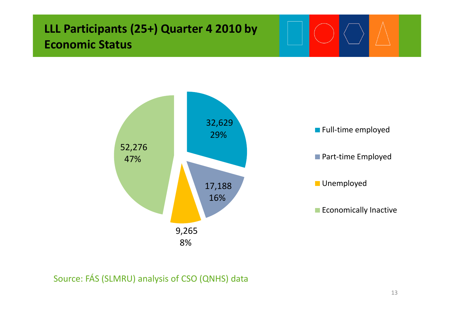13

### **LLL Participants (25+) Quarter 4 2010 by Economic Status**



#### Source: FÁS (SLMRU) analysis of CSO (QNHS) data